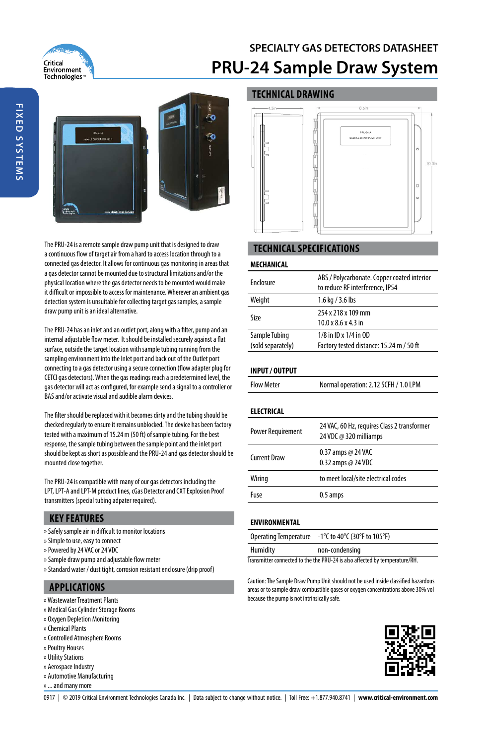

# **SPECIALTY GAS DETECTORS DATASHEET PRU-24 Sample Draw System**





The PRU-24 is a remote sample draw pump unit that is designed to draw a continuous flow of target air from a hard to access location through to a connected gas detector. It allows for continuous gas monitoring in areas that a gas detector cannot be mounted due to structural limitations and/or the physical location where the gas detector needs to be mounted would make it difficult or impossible to access for maintenance. Wherever an ambient gas detection system is unsuitable for collecting target gas samples, a sample draw pump unit is an ideal alternative.

The PRU-24 has an inlet and an outlet port, along with a filter, pump and an internal adjustable flow meter. It should be installed securely against a flat surface, outside the target location with sample tubing running from the sampling environment into the Inlet port and back out of the Outlet port connecting to a gas detector using a secure connection (flow adapter plug for CETCI gas detectors). When the gas readings reach a predetermined level, the gas detector will act as configured, for example send a signal to a controller or BAS and/or activate visual and audible alarm devices.

The filter should be replaced with it becomes dirty and the tubing should be checked regularly to ensure it remains unblocked. The device has been factory tested with a maximum of 15.24 m (50 ft) of sample tubing. For the best response, the sample tubing between the sample point and the inlet port should be kept as short as possible and the PRU-24 and gas detector should be mounted close together.

The PRU-24 is compatible with many of our gas detectors including the LPT, LPT-A and LPT-M product lines, cGas Detector and CXT Explosion Proof transmitters (special tubing adpater required).

## **KEY FEATURES**

- » Safely sample air in difficult to monitor locations
- » Simple to use, easy to connect
- » Powered by 24 VAC or 24 VDC
- » Sample draw pump and adjustable flow meter
- » Standard water / dust tight, corrosion resistant enclosure (drip proof)

### **APPLICATIONS**

- 
- » Medical Gas Cylinder Storage Rooms
- » Oxygen Depletion Monitoring
- » Chemical Plants
- » Controlled Atmosphere Rooms
- » Poultry Houses
- » Utility Stations
- » Aerospace Industry » Automotive Manufacturing
- » ... and many more
- 

## **TECHNICAL DRAWING**



# **TECHNICAL SPECIFICATIONS**

#### **MECHANICAL**

| <b>Fnclosure</b>                   | ABS / Polycarbonate. Copper coated interior<br>to reduce RF interference, IP54 |
|------------------------------------|--------------------------------------------------------------------------------|
| Weight                             | 1.6 kg / $3.6$ lbs                                                             |
| Size                               | 254 x 218 x 109 mm<br>$10.0 \times 8.6 \times 4.3$ in                          |
| Sample Tubing<br>(sold separately) | 1/8 in ID x 1/4 in OD<br>Factory tested distance: 15.24 m / 50 ft              |

#### **INPUT / OUTPUT**

|  | <b>Flow Meter</b> | Normal operation: 2.12 SCFH / 1.0 LPM |
|--|-------------------|---------------------------------------|
|--|-------------------|---------------------------------------|

#### **ELECTRICAL**

| <b>Power Requirement</b> | 24 VAC, 60 Hz, requires Class 2 transformer<br>24 VDC @ 320 milliamps |
|--------------------------|-----------------------------------------------------------------------|
| <b>Current Draw</b>      | 0.37 amps @ 24 VAC<br>0.32 amps @ 24 VDC                              |
| Wiring                   | to meet local/site electrical codes                                   |
| Fuse                     | 0.5 amps                                                              |
|                          |                                                                       |

## **ENVIRONMENTAL**

| Operating Temperature                                                       | -1°C to 40°C (30°F to 105°F) |
|-----------------------------------------------------------------------------|------------------------------|
| Humidity                                                                    | non-condensing               |
| Transmitter connected to the the PRII-24 is also affected by temperature/RH |                              |

Caution: The Sample Draw Pump Unit should not be used inside classified hazardous areas or to sample draw combustible gases or oxygen concentrations above 30% vol » Wastewater Treatment Plants **Exercise 2008** because the pump is not intrinsically safe.



0917 | © 2019 Critical Environment Technologies Canada Inc. | Data subject to change without notice. | Toll Free: +1.877.940.8741 | **www.critical-environment.com**